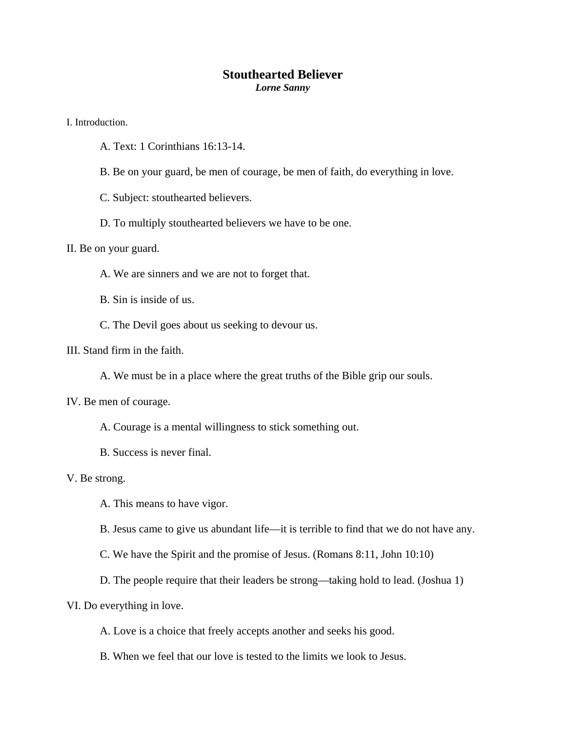## **Stouthearted Believer**

*Lorne Sanny* 

I. Introduction.

- A. Text: 1 Corinthians 16:13-14.
- B. Be on your guard, be men of courage, be men of faith, do everything in love.

C. Subject: stouthearted believers.

D. To multiply stouthearted believers we have to be one.

II. Be on your guard.

A. We are sinners and we are not to forget that.

B. Sin is inside of us.

C. The Devil goes about us seeking to devour us.

III. Stand firm in the faith.

A. We must be in a place where the great truths of the Bible grip our souls.

IV. Be men of courage.

A. Courage is a mental willingness to stick something out.

B. Success is never final.

V. Be strong.

A. This means to have vigor.

B. Jesus came to give us abundant life—it is terrible to find that we do not have any.

C. We have the Spirit and the promise of Jesus. (Romans 8:11, John 10:10)

D. The people require that their leaders be strong—taking hold to lead. (Joshua 1)

VI. Do everything in love.

A. Love is a choice that freely accepts another and seeks his good.

B. When we feel that our love is tested to the limits we look to Jesus.